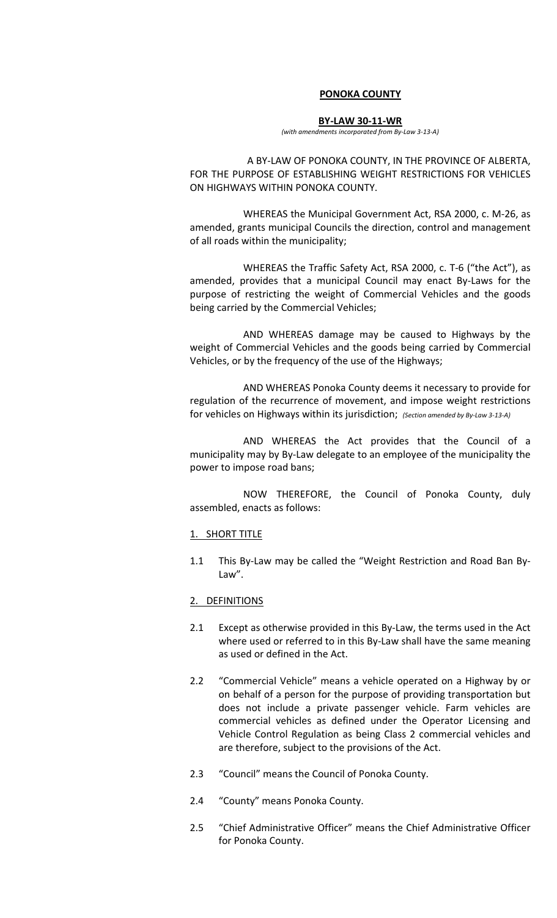#### **PONOKA COUNTY**

#### **BY‐LAW 30‐11‐WR**

*(with amendments incorporated from By‐Law 3‐13‐A)*

A BY‐LAW OF PONOKA COUNTY, IN THE PROVINCE OF ALBERTA, FOR THE PURPOSE OF ESTABLISHING WEIGHT RESTRICTIONS FOR VEHICLES ON HIGHWAYS WITHIN PONOKA COUNTY.

WHEREAS the Municipal Government Act, RSA 2000, c. M‐26, as amended, grants municipal Councils the direction, control and management of all roads within the municipality;

 WHEREAS the Traffic Safety Act, RSA 2000, c. T‐6 ("the Act"), as amended, provides that a municipal Council may enact By-Laws for the purpose of restricting the weight of Commercial Vehicles and the goods being carried by the Commercial Vehicles;

 AND WHEREAS damage may be caused to Highways by the weight of Commercial Vehicles and the goods being carried by Commercial Vehicles, or by the frequency of the use of the Highways;

AND WHEREAS Ponoka County deems it necessary to provide for regulation of the recurrence of movement, and impose weight restrictions for vehicles on Highways within its jurisdiction; *(Section amended by By‐Law <sup>3</sup>‐13‐A)*

 AND WHEREAS the Act provides that the Council of a municipality may by By‐Law delegate to an employee of the municipality the power to impose road bans;

 NOW THEREFORE, the Council of Ponoka County, duly assembled, enacts as follows:

#### 1. SHORT TITLE

1.1 This By‐Law may be called the "Weight Restriction and Road Ban By‐ Law".

#### 2. DEFINITIONS

- 2.1 Except as otherwise provided in this By-Law, the terms used in the Act where used or referred to in this By-Law shall have the same meaning as used or defined in the Act.
- 2.2 "Commercial Vehicle" means a vehicle operated on a Highway by or on behalf of a person for the purpose of providing transportation but does not include a private passenger vehicle. Farm vehicles are commercial vehicles as defined under the Operator Licensing and Vehicle Control Regulation as being Class 2 commercial vehicles and are therefore, subject to the provisions of the Act.
- 2.3 "Council" means the Council of Ponoka County.
- 2.4 "County" means Ponoka County.
- 2.5 "Chief Administrative Officer" means the Chief Administrative Officer for Ponoka County.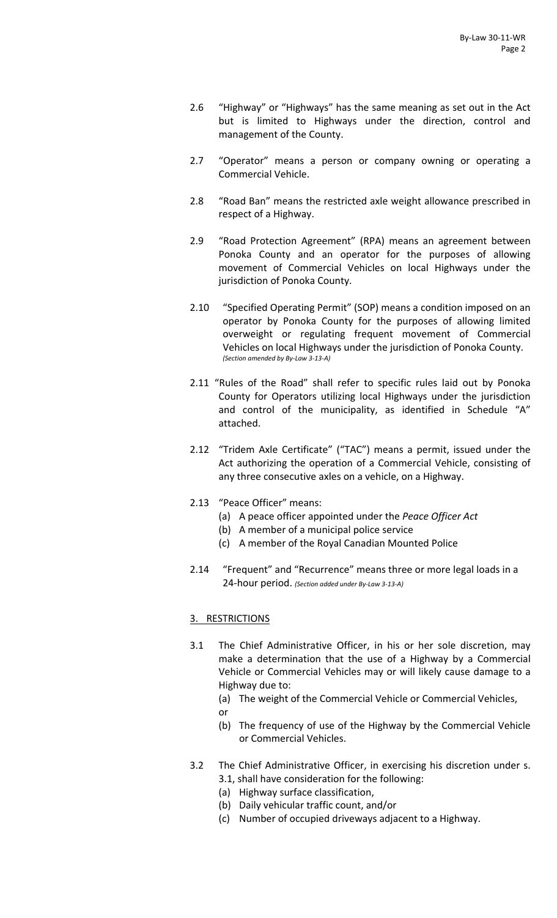- 2.6 "Highway" or "Highways" has the same meaning as set out in the Act but is limited to Highways under the direction, control and management of the County.
- 2.7 "Operator" means a person or company owning or operating a Commercial Vehicle.
- 2.8 "Road Ban" means the restricted axle weight allowance prescribed in respect of a Highway.
- 2.9 "Road Protection Agreement" (RPA) means an agreement between Ponoka County and an operator for the purposes of allowing movement of Commercial Vehicles on local Highways under the jurisdiction of Ponoka County.
- 2.10 "Specified Operating Permit" (SOP) means a condition imposed on an operator by Ponoka County for the purposes of allowing limited overweight or regulating frequent movement of Commercial Vehicles on local Highways under the jurisdiction of Ponoka County. *(Section amended by By‐Law 3‐13‐A)*
- 2.11 "Rules of the Road" shall refer to specific rules laid out by Ponoka County for Operators utilizing local Highways under the jurisdiction and control of the municipality, as identified in Schedule "A" attached.
- 2.12 "Tridem Axle Certificate" ("TAC") means a permit, issued under the Act authorizing the operation of a Commercial Vehicle, consisting of any three consecutive axles on a vehicle, on a Highway.
- 2.13 "Peace Officer" means:
	- (a) A peace officer appointed under the *Peace Officer Act*
	- (b) A member of a municipal police service
	- (c) A member of the Royal Canadian Mounted Police
- 2.14 "Frequent" and "Recurrence" means three or more legal loads in a 24‐hour period. *(Section added under By‐Law <sup>3</sup>‐13‐A)*

### 3. RESTRICTIONS

- 3.1 The Chief Administrative Officer, in his or her sole discretion, may make a determination that the use of a Highway by a Commercial Vehicle or Commercial Vehicles may or will likely cause damage to a Highway due to:
	- (a) The weight of the Commercial Vehicle or Commercial Vehicles,
	- or
	- (b) The frequency of use of the Highway by the Commercial Vehicle or Commercial Vehicles.
- 3.2 The Chief Administrative Officer, in exercising his discretion under s. 3.1, shall have consideration for the following:
	- (a) Highway surface classification,
	- (b) Daily vehicular traffic count, and/or
	- (c) Number of occupied driveways adjacent to a Highway.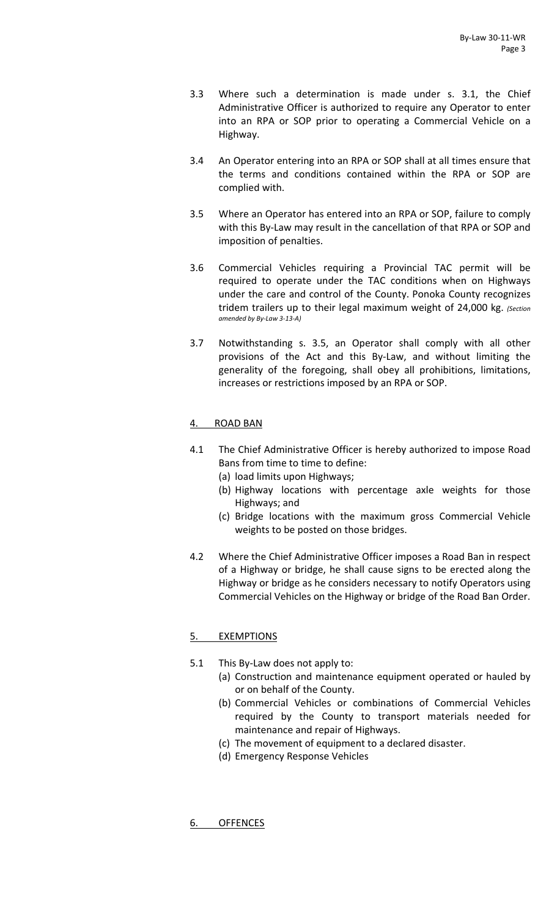- 3.3 Where such a determination is made under s. 3.1, the Chief Administrative Officer is authorized to require any Operator to enter into an RPA or SOP prior to operating a Commercial Vehicle on a Highway.
- 3.4 An Operator entering into an RPA or SOP shall at all times ensure that the terms and conditions contained within the RPA or SOP are complied with.
- 3.5 Where an Operator has entered into an RPA or SOP, failure to comply with this By-Law may result in the cancellation of that RPA or SOP and imposition of penalties.
- 3.6 Commercial Vehicles requiring a Provincial TAC permit will be required to operate under the TAC conditions when on Highways under the care and control of the County. Ponoka County recognizes tridem trailers up to their legal maximum weight of 24,000 kg. *(Section amended by By‐Law 3‐13‐A)*
- 3.7 Notwithstanding s. 3.5, an Operator shall comply with all other provisions of the Act and this By‐Law, and without limiting the generality of the foregoing, shall obey all prohibitions, limitations, increases or restrictions imposed by an RPA or SOP.

# 4. ROAD BAN

- 4.1 The Chief Administrative Officer is hereby authorized to impose Road Bans from time to time to define:
	- (a) load limits upon Highways;
	- (b) Highway locations with percentage axle weights for those Highways; and
	- (c) Bridge locations with the maximum gross Commercial Vehicle weights to be posted on those bridges.
- 4.2 Where the Chief Administrative Officer imposes a Road Ban in respect of a Highway or bridge, he shall cause signs to be erected along the Highway or bridge as he considers necessary to notify Operators using Commercial Vehicles on the Highway or bridge of the Road Ban Order.

### 5. EXEMPTIONS

- 5.1 This By-Law does not apply to:
	- (a) Construction and maintenance equipment operated or hauled by or on behalf of the County.
	- (b) Commercial Vehicles or combinations of Commercial Vehicles required by the County to transport materials needed for maintenance and repair of Highways.
	- (c) The movement of equipment to a declared disaster.
	- (d) Emergency Response Vehicles

6. OFFENCES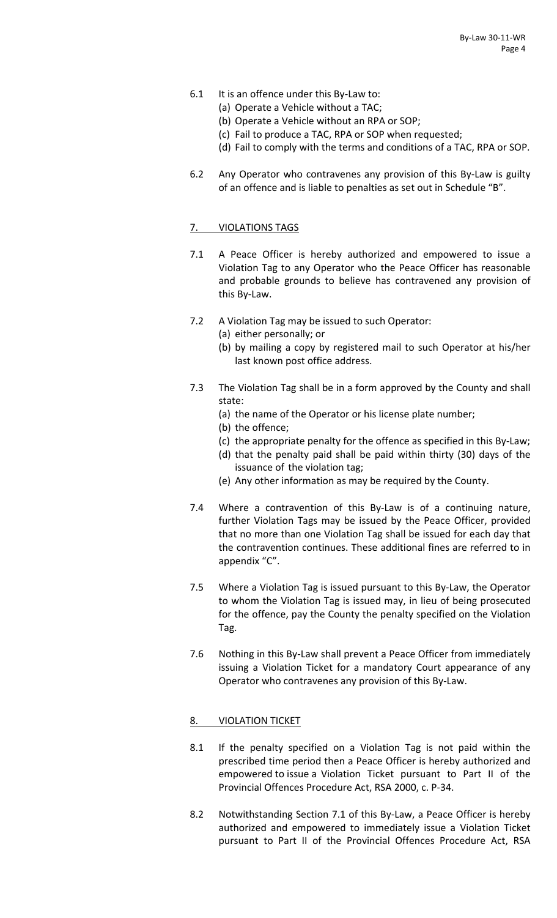- 6.1 It is an offence under this By-Law to:
	- (a) Operate a Vehicle without a TAC;
	- (b) Operate a Vehicle without an RPA or SOP;
	- (c) Fail to produce a TAC, RPA or SOP when requested;
	- (d) Fail to comply with the terms and conditions of a TAC, RPA or SOP.
- 6.2 Any Operator who contravenes any provision of this By‐Law is guilty of an offence and is liable to penalties as set out in Schedule "B".

# 7. VIOLATIONS TAGS

- 7.1 A Peace Officer is hereby authorized and empowered to issue a Violation Tag to any Operator who the Peace Officer has reasonable and probable grounds to believe has contravened any provision of this By‐Law.
- 7.2 A Violation Tag may be issued to such Operator:
	- (a) either personally; or
		- (b) by mailing a copy by registered mail to such Operator at his/her last known post office address.
- 7.3 The Violation Tag shall be in a form approved by the County and shall state:
	- (a) the name of the Operator or his license plate number;
	- (b) the offence;
	- (c) the appropriate penalty for the offence as specified in this By‐Law;
	- (d) that the penalty paid shall be paid within thirty (30) days of the issuance of the violation tag;
	- (e) Any other information as may be required by the County.
- 7.4 Where a contravention of this By-Law is of a continuing nature, further Violation Tags may be issued by the Peace Officer, provided that no more than one Violation Tag shall be issued for each day that the contravention continues. These additional fines are referred to in appendix "C".
- 7.5 Where a Violation Tag is issued pursuant to this By‐Law, the Operator to whom the Violation Tag is issued may, in lieu of being prosecuted for the offence, pay the County the penalty specified on the Violation Tag.
- 7.6 Nothing in this By‐Law shall prevent a Peace Officer from immediately issuing a Violation Ticket for a mandatory Court appearance of any Operator who contravenes any provision of this By‐Law.

### 8. VIOLATION TICKET

- 8.1 If the penalty specified on a Violation Tag is not paid within the prescribed time period then a Peace Officer is hereby authorized and empowered to issue a Violation Ticket pursuant to Part II of the Provincial Offences Procedure Act, RSA 2000, c. P‐34.
- 8.2 Notwithstanding Section 7.1 of this By-Law, a Peace Officer is hereby authorized and empowered to immediately issue a Violation Ticket pursuant to Part II of the Provincial Offences Procedure Act, RSA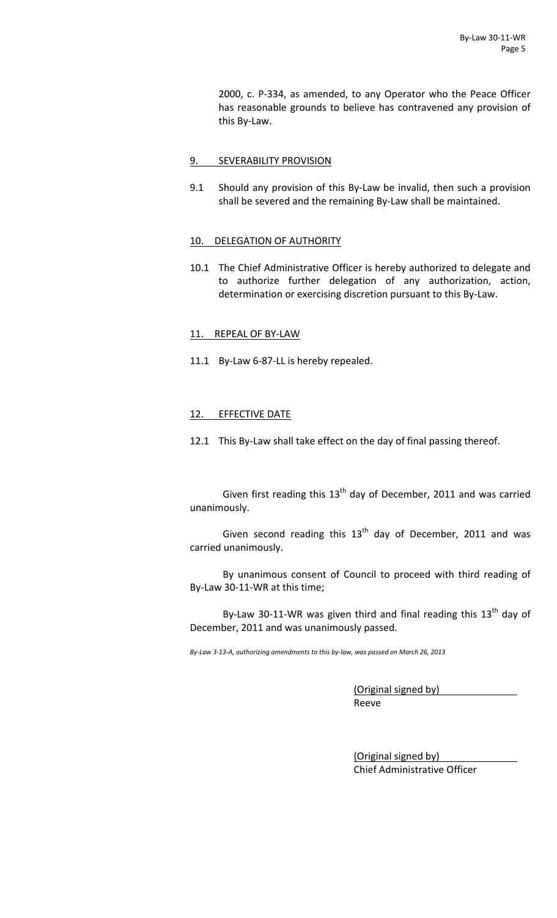2000, c. P‐334, as amended, to any Operator who the Peace Officer has reasonable grounds to believe has contravened any provision of this By‐Law.

## 9. SEVERABILITY PROVISION

9.1 Should any provision of this By-Law be invalid, then such a provision shall be severed and the remaining By‐Law shall be maintained.

### 10. DELEGATION OF AUTHORITY

10.1 The Chief Administrative Officer is hereby authorized to delegate and to authorize further delegation of any authorization, action, determination or exercising discretion pursuant to this By‐Law.

# 11. REPEAL OF BY-LAW

11.1 By-Law 6-87-LL is hereby repealed.

### 12. EFFECTIVE DATE

12.1 This By-Law shall take effect on the day of final passing thereof.

Given first reading this  $13<sup>th</sup>$  day of December, 2011 and was carried unanimously.

Given second reading this  $13<sup>th</sup>$  day of December, 2011 and was carried unanimously.

By unanimous consent of Council to proceed with third reading of By‐Law 30‐11‐WR at this time;

By-Law 30-11-WR was given third and final reading this  $13<sup>th</sup>$  day of December, 2011 and was unanimously passed.

By-Law 3-13-A, authorizing amendments to this by-law, was passed on March 26, 2013

(Original signed by) Reeve

(Original signed by) Chief Administrative Officer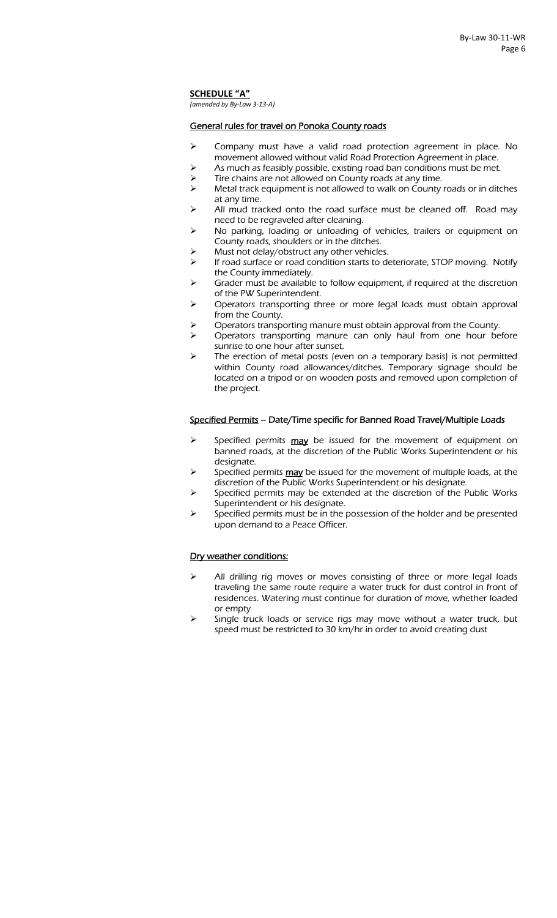**SCHEDULE "A"**

*(amended by By‐Law 3‐13‐A)*

#### General rules for travel on Ponoka County roads

- ¾ Company must have a valid road protection agreement in place. No movement allowed without valid Road Protection Agreement in place.
- As much as feasibly possible, existing road ban conditions must be met.
- Tire chains are not allowed on County roads at any time.
- $\triangleright$  Metal track equipment is not allowed to walk on County roads or in ditches at any time.
- $\triangleright$  All mud tracked onto the road surface must be cleaned off. Road may need to be regraveled after cleaning.
- ¾ No parking, loading or unloading of vehicles, trailers or equipment on County roads, shoulders or in the ditches.
- Must not delay/obstruct any other vehicles.
- $\triangleright$  If road surface or road condition starts to deteriorate, STOP moving. Notify the County immediately.
- $\triangleright$  Grader must be available to follow equipment, if required at the discretion of the PW Superintendent.
- ¾ Operators transporting three or more legal loads must obtain approval from the County.
- ¾ Operators transporting manure must obtain approval from the County.
- ¾ Operators transporting manure can only haul from one hour before sunrise to one hour after sunset.
- $\triangleright$  The erection of metal posts (even on a temporary basis) is not permitted within County road allowances/ditches. Temporary signage should be located on a tripod or on wooden posts and removed upon completion of the project.

#### Specified Permits – Date/Time specific for Banned Road Travel/Multiple Loads

- Specified permits  $\frac{may}{day}$  be issued for the movement of equipment on banned roads, at the discretion of the Public Works Superintendent or his designate.
- Specified permits may be issued for the movement of multiple loads, at the discretion of the Public Works Superintendent or his designate.
- Specified permits may be extended at the discretion of the Public Works Superintendent or his designate.
- $\triangleright$  Specified permits must be in the possession of the holder and be presented upon demand to a Peace Officer.

#### Dry weather conditions:

- All drilling rig moves or moves consisting of three or more legal loads traveling the same route require a water truck for dust control in front of residences. Watering must continue for duration of move, whether loaded or empty
- Single truck loads or service rigs may move without a water truck, but speed must be restricted to 30 km/hr in order to avoid creating dust